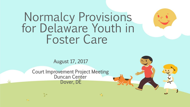# Normalcy Provisions for Delaware Youth in Foster Care

August 17, 2017

Court Improvement Project Meeting Duncan Center Dover, DE

 $\mathbf{v}_{\text{eff}}^{\text{A}}$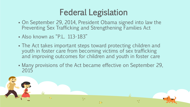- On September 29, 2014, President Obama signed into law the Preventing Sex Trafficking and Strengthening Families Act
- Also known as "P.L. 113-183"
- The Act takes important steps toward protecting children and youth in foster care from becoming victims of sex trafficking and improving outcomes for children and youth in foster care
- Many provisions of the Act became effective on September 29, 2015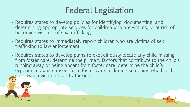- Requires states to develop policies for identifying, documenting, and determining appropriate services for children who are victims, or at risk of becoming victims, of sex trafficking
- Requires states to immediately report children who are victims of sex trafficking to law enforcement
- Requires states to develop plans to expeditiously locate any child missing from foster care; determine the primary factors that contribute to the child's running away or being absent from foster care; determine the child's experiences while absent from foster care, including screening whether the child was a victim of sex trafficking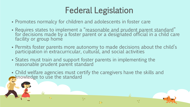- Promotes normalcy for children and adolescents in foster care
- Requires states to implement a "reasonable and prudent parent standard" for decisions made by a foster parent or a designated official in a child care facility or group home
- Permits foster parents more autonomy to made decisions about the child's participation in extracurricular, cultural, and social activities
- States must train and support foster parents in implementing the reasonable prudent parent standard
- Child welfare agencies must certify the caregivers have the skills and knowledge to use the standard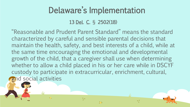## Delaware's Implementation

#### 13 Del. C. § 2502(18)

"Reasonable and Prudent Parent Standard" means the standard characterized by careful and sensible parental decisions that maintain the health, safety, and best interests of a child, while at the same time encouraging the emotional and developmental growth of the child, that a caregiver shall use when determining whether to allow a child placed in his or her care while in DSCYF custody to participate in extracurricular, enrichment, cultural, and social activities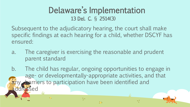#### Delaware's Implementation 13 Del. C. § 2514(3)

Subsequent to the adjudicatory hearing, the court shall make specific findings at each hearing for a child, whether DSCYF has ensured:

a. The caregiver is exercising the reasonable and prudent parent standard

b. The child has regular, ongoing opportunities to engage in age- or developmentally-appropriate activities, and that arriers to participation have been identified and ressed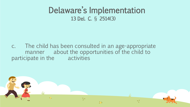#### Delaware's Implementation 13 Del. C. § 2514(3)

c. The child has been consulted in an age-appropriate manner about the opportunities of the child to participate in the activities

y.

上步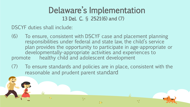#### Delaware's Implementation 13 Del. C. § 2521(6) and (7)

DSCYF duties shall include:

- (6) To ensure, consistent with DSCYF case and placement planning responsibilities under federal and state law, the child's service plan provides the opportunity to participate in age-appropriate or developmentally-appropriate activities and experiences to promote healthy child and adolescent development
- (7) To ensure standards and policies are in place, consistent with the reasonable and prudent parent standard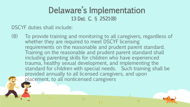#### Delaware's Implementation 13 Del. C. § 2521(8)

DSCYF duties shall include:

(8) To provide training and monitoring to all caregivers, regardless of whether they are required to meet DSCYF licensing requirements on the reasonable and prudent parent standard. Training on the reasonable and prudent parent standard shall including parenting skills for children who have experienced trauma, healthy sexual development, and implementing the standard for children with special needs. Such training shall be provided annually to all licensed caregivers, and upon placement, to all nonlicensed caregivers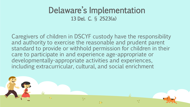#### Delaware's Implementation 13 Del. C. § 2523(a)

Caregivers of children in DSCYF custody have the responsibility and authority to exercise the reasonable and prudent parent standard to provide or withhold permission for children in their care to participate in and experience age-appropriate or developmentally-appropriate activities and experiences, including extracurricular, cultural, and social enrichment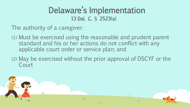#### Delaware's Implementation 13 Del. C. § 2523(a)

The authority of a caregiver:

- (1) Must be exercised using the reasonable and prudent parent standard and his or her actions do not conflict with any applicable court order or service plan; and
- (2) May be exercised without the prior approval of DSCYF or the Court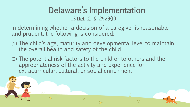#### Delaware's Implementation 13 Del. C. § 2523(b)

In determining whether a decision of a caregiver is reasonable and prudent, the following is considered:

- (1) The child's age, maturity and developmental level to maintain the overall health and safety of the child
- (2) The potential risk factors to the child or to others and the appropriateness of the activity and experience for extracurricular, cultural, or social enrichment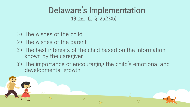#### Delaware's Implementation 13 Del. C. § 2523(b)

- (3) The wishes of the child
- (4) The wishes of the parent
- (5) The best interests of the child based on the information known by the caregiver
- (6) The importance of encouraging the child's emotional and developmental growth

加

y.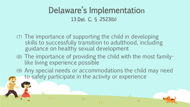### Delaware's Implementation 13 Del. C. § 2523(b)

- (7) The importance of supporting the child in developing skills to successfully transition to adulthood, including guidance on healthy sexual development
- (8) The importance of providing the child with the most familylike living experience possible
- (9) Any special needs or accommodations the child may need to safely participate in the activity or experience

包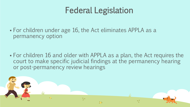For children under age 16, the Act eliminates APPLA as a permanency option

 For children 16 and older with APPLA as a plan, the Act requires the court to make specific judicial findings at the permanency hearing or post-permanency review hearings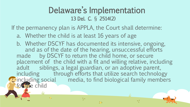#### Delaware's Implementation 13 Del. C. § 2514(2)

If the permanency plan is APPLA, the Court shall determine:

a. Whether the child is at least 16 years of age

b. Whether DSCYF has documented its intensive, ongoing, and as of the date of the hearing, unsuccessful efforts made by DSCYF to return the child home, or secure placement of the child with a fit and willing relative, including adult siblings, a legal guardian, or an adoptive parent, including through efforts that utilize search technology including social media, to find biological family members for the child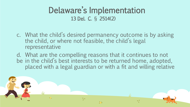#### Delaware's Implementation 13 Del. C. § 2514(2)

- c. What the child's desired permanency outcome is by asking the child, or where not feasible, the child's legal representative
- d. What are the compelling reasons that it continues to not be in the child's best interests to be returned home, adopted, placed with a legal guardian or with a fit and willing relative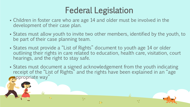- Children in foster care who are age 14 and older must be involved in the development of their case plan.
- States must allow youth to invite two other members, identified by the youth, to be part of their case planning team.
- States must provide a "List of Rights" document to youth age 14 or older outlining their rights in care related to education, health care, visitation, court hearings, and the right to stay safe.
- States must document a signed acknowledgement from the youth indicating receipt of the "List of Rights" and the rights have been explained in an "age **appropriate way**"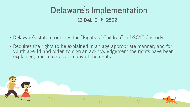### Delaware's Implementation 13 Del. C. § 2522

- Delaware's statute outlines the "Rights of Children" in DSCYF Custody
- Requires the rights to be explained in an age appropriate manner, and for youth age 14 and older, to sign an acknowledgement the rights have been explained, and to receive a copy of the rights